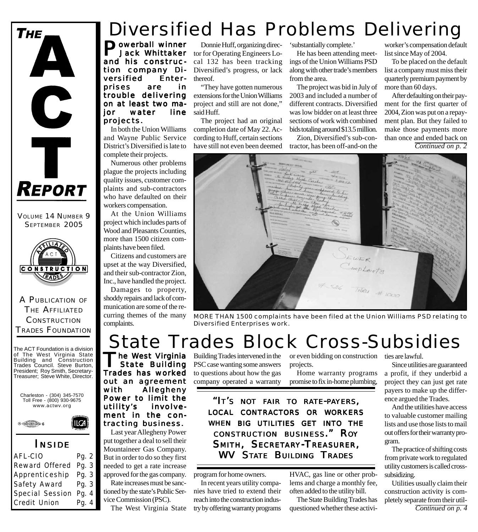

VOLUME 14 NUMBER 9 SEPTEMBER 2005



A PUBLICATION OF THE AFFILIATED **CONSTRUCTION** TRADES FOUNDATION

The ACT Foundation is a division of The West Virginia State Building and Construction Trades Council. Steve Burton, President; Roy Smith, Secretary-Treasurer; Steve White, Director.

Charleston - (304) 345-7570 Toll Free - (800) 930-9675 www.actwv.org

 $I\mathcal{A}$ 



#### *I NSIDE*

| AFL-CIO         | Pg. 2 |
|-----------------|-------|
| Reward Offered  | Pg. 3 |
| Apprenticeship  | Pg. 3 |
| Safety Award    | Pg. 3 |
| Special Session | Pg. 4 |
| Credit Union    | Pg. 4 |
|                 |       |

## Diversified Has Problems Delivering

**Powerball winner**  Jack Whittaker and his construction company Diversified Enterprises are in trouble delivering on at least two major water line projects. projects.

In both the Union Williams and Wayne Public Service District's Diversified is late to complete their projects.

Numerous other problems plague the projects including quality issues, customer complaints and sub-contractors who have defaulted on their workers compensation.

At the Union Williams project which includes parts of Wood and Pleasants Counties, more than 1500 citizen complaints have been filed.

Citizens and customers are upset at the way Diversified, and their sub-contractor Zion, Inc., have handled the project.

Damages to property, shoddy repairs and lack of communication are some of the recurring themes of the many complaints.

 State Building Trades has worked out an agreement with Allegheny Power to limit the utility's involvement in the contracting business. Last year Allegheny Power put together a deal to sell their Mountaineer Gas Company. But in order to do so they first needed to get a rate increase approved for the gas company. Rate increases must be sanctioned by the state's Public Service Commission (PSC).

The West Virginia State

Donnie Huff, organizing director for Operating Engineers Local 132 has been tracking Diversified's progress, or lack thereof.

"They have gotten numerous extensions for the Union Williams project and still are not done," said Huff.

The project had an original completion date of May 22. According to Huff, certain sections have still not even been deemed 'substantially complete.'

He has been attending meetings of the Union Williams PSD along with other trade's members from the area.

The project was bid in July of 2003 and included a number of different contracts. Diversified was low bidder on at least three sections of work with combined bids totaling around \$13.5 million.

Zion, Diversified's sub-contractor, has been off-and-on the worker's compensation default list since May of 2004.

To be placed on the default list a company must miss their quarterly premium payment by more than 60 days.

After defaulting on their payment for the first quarter of 2004, Zion was put on a repayment plan. But they failed to make those payments more than once and ended back on *Continued on p. 2*



*MORE THAN 1500 complaints have been filed at the Union Williams PSD relating to Diversified Enterprises work.*

### The West Virginia State Trades Block Cross-Subsidies

Building Trades intervened in the PSC case wanting some answers to questions about how the gas company operated a warranty

or even bidding on construction projects.

Home warranty programs promise to fix in-home plumbing,

*"IT'S NOT FAIR TO RATE-PAYERS, LOCAL CONTRACTORS OR WORKERS WHEN BIG UTILITIES GET INTO THE CONSTRUCTION BUSINESS." ROY SMITH, SECRETARY-TREASURER, WV STATE BUILDING TRADES*

program for home owners.

In recent years utility companies have tried to extend their reach into the construction industry by offering warranty programs HVAC, gas line or other problems and charge a monthly fee, often added to the utility bill.

The State Building Trades has questioned whether these activities are lawful.

Since utilities are guaranteed a profit, if they underbid a project they can just get rate payers to make up the difference argued the Trades.

And the utilities have access to valuable customer mailing lists and use those lists to mail out offers for their warranty program.

The practice of shifting costs from private work to regulated utility customers is called crosssubsidizing.

Utilities usually claim their construction activity is completely separate from their util-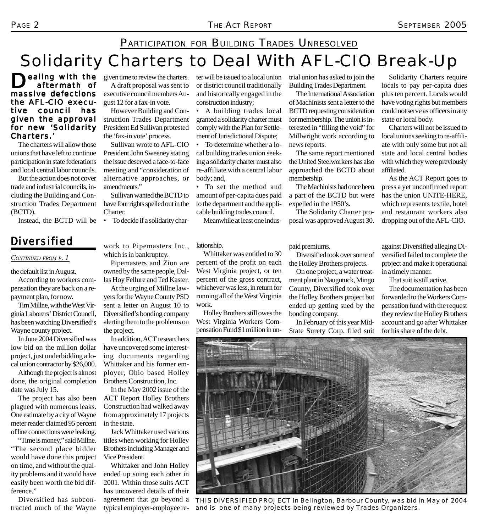## Solidarity Charters to Deal With AFL-CIO Break-Up PARTICIPATION FOR BUILDING TRADES UNRESOLVED

ter will be issued to a local union or district council traditionally and historically engaged in the

• A building trades local granted a solidarity charter must comply with the Plan for Settlement of Jurisdictional Dispute; • To determine whether a local building trades union seeking a solidarity charter must also re-affiliate with a central labor

• To set the method and amount of per-capita dues paid to the department and the applicable building trades council. Meanwhile at least one indus-

construction industry;

ealing with the aftermath of massive defections the AFL-CIO executive council has given the approval for new 'Solidarity Charters.'

The charters will allow those unions that have left to continue participation in state federations and local central labor councils.

But the action does not cover trade and industrial councils, including the Building and Construction Trades Department (BCTD).

Instead, the BCTD will be • To decide if a solidarity char-

#### *Diversified*

*CONTINUED FROM P. 1*

the default list in August.

According to workers compensation they are back on a repayment plan, for now.

Tim Millne, with the West Virginia Laborers' District Council, has been watching Diversified's Wayne county project.

In June 2004 Diversified was low bid on the million dollar project, just underbidding a local union contractor by \$26,000.

Although the project is almost done, the original completion date was July 15.

The project has also been plagued with numerous leaks. One estimate by a city of Wayne meter reader claimed 95 percent of line connections were leaking.

"Time is money," said Millne. "The second place bidder would have done this project on time, and without the quality problems and it would have easily been worth the bid difference."

Diversified has subcontracted much of the Wayne given time to review the charters.

A draft proposal was sent to executive council members August 12 for a fax-in vote.

However Building and Construction Trades Department President Ed Sullivan protested the 'fax-in vote' process.

Sullivan wrote to AFL-CIO President John Sweeney stating the issue deserved a face-to-face meeting and "consideration of alternative approaches, or amendments."

Sullivan wanted the BCTD to have four rights spelled out in the Charter.

Diversified's bonding company alerting them to the problems on

In addition, ACT researchers have uncovered some interesting documents regarding Whittaker and his former employer, Ohio based Holley Brothers Construction, Inc.

In the May 2002 issue of the ACT Report Holley Brothers Construction had walked away from approximately 17 projects

Jack Whittaker used various titles when working for Holley Brothers including Manager and

Whittaker and John Holley ended up suing each other in 2001. Within those suits ACT has uncovered details of their agreement that go beyond a typical employer-employee re-

the project.

in the state.

Vice President.

which is in bankruptcy.

#### work to Pipemasters Inc., lationship.

body; and,

Pipemasters and Zion are owned by the same people, Dallas Hoy Fellure and Ted Kaster. At the urging of Millne lawyers for the Wayne County PSD sent a letter on August 10 to Whittaker was entitled to 30 percent of the profit on each West Virginia project, or ten percent of the gross contract, whichever was less, in return for running all of the West Virginia work.

Holley Brothers still owes the West Virginia Workers Compensation Fund \$1 million in untrial union has asked to join the Building Trades Department.

The International Association of Machinists sent a letter to the BCTD requesting consideration for membership. The union is interested in "filling the void" for Millwright work according to news reports.

The same report mentioned the United Steelworkers has also approached the BCTD about membership.

The Machinists had once been a part of the BCTD but were expelled in the 1950's.

The Solidarity Charter proposal was approved August 30.

Solidarity Charters require locals to pay per-capita dues plus ten percent. Locals would have voting rights but members could not serve as officers in any state or local body.

Charters will not be issued to local unions seeking to re-affiliate with only some but not all state and local central bodies with which they were previously affiliated.

As the ACT Report goes to press a yet unconfirmed report has the union UNITE-HERE, which represents textile, hotel and restaurant workers also dropping out of the AFL-CIO.

paid premiums.

Diversified took over some of the Holley Brothers projects.

On one project, a water treatment plant in Naugutuck, Mingo County, Diversified took over the Holley Brothers project but ended up getting sued by the bonding company.

In February of this year Mid-State Surety Corp. filed suit

against Diversified alleging Diversified failed to complete the project and make it operational in a timely manner.

That suit is still active.

The documentation has been forwarded to the Workers Compensation fund with the request they review the Holley Brothers account and go after Whittaker for his share of the debt.



*THIS DIVERSIFIED PROJECT in Belington, Barbour County, was bid in May of 2004 and is one of many projects being reviewed by Trades Organizers.*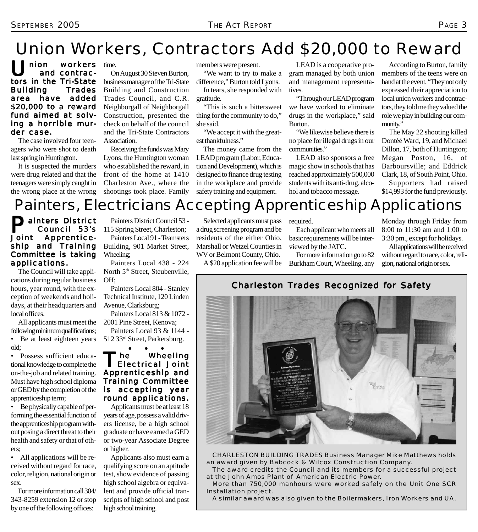## Union Workers, Contractors Add \$20,000 to Reward

 $\bigcup$  nion workers<br>and contractors in the Tri-State Building Trades area have added \$20,000 to a reward fund aimed at solving a hor rible murder case.

The case involved four teenagers who were shot to death last spring in Huntington.

It is suspected the murders were drug related and that the teenagers were simply caught in the wrong place at the wrong time.

On August 30 Steven Burton, business manager of the Tri-State Building and Construction Trades Council, and C.R. Neighborgall of Neighborgall Construction, presented the check on behalf of the council and the Tri-State Contractors Association.

Receiving the funds was Mary Lyons, the Huntington woman who established the reward, in front of the home at 1410 Charleston Ave., where the shootings took place. Family

members were present.

"We want to try to make a difference," Burton told Lyons. In tears, she responded with gratitude.

"This is such a bittersweet thing for the community to do," she said.

"We accept it with the greatest thankfulness."

The money came from the LEAD program (Labor, Education and Development), which is designed to finance drug testing in the workplace and provide safety training and equipment.

LEAD is a cooperative program managed by both union and management representatives.

"Through our LEAD program we have worked to eliminate drugs in the workplace," said Burton.

"We likewise believe there is no place for illegal drugs in our communities."

LEAD also sponsors a free magic show in schools that has reached approximately 500,000 students with its anti-drug, alcohol and tobacco message.

According to Burton, family members of the teens were on hand at the event. "They not only expressed their appreciation to local union workers and contractors, they told me they valued the role we play in building our community."

The May 22 shooting killed Dontéé Ward, 19, and Michael Dillon, 17, both of Huntington; Megan Poston, 16, of Barboursville; and Eddrick Clark, 18, of South Point, Ohio.

Supporters had raised \$14,993 for the fund previously.

## Painters, Electricians Accepting Apprenticeship Applications

#### **Painters District<br>Council 53's<br>Joint Apprentice-** Council 53's Apprenticeship and Training Committee is taking applications.

The Council will take applications during regular business hours, year round, with the exception of weekends and holidays, at their headquarters and local offices.

All applicants must meet the following minimum qualifications; • Be at least eighteen years old;

• Possess sufficient educational knowledge to complete the on-the-job and related training. Must have high school diploma or GED by the completion of the apprenticeship term;

• Be physically capable of performing the essential function of the apprenticeship program without posing a direct threat to their health and safety or that of others;

• All applications will be received without regard for race, color, religion, national origin or sex.

For more information call 304/ 343-8259 extension 12 or stop by one of the following offices:

Painters District Council 53 - 115 Spring Street, Charleston;

Painters Local 91 - Teamsters Building, 901 Market Street, Wheeling;

Painters Local 438 - 224 North 5<sup>th</sup> Street, Steubenville, OH;

Painters Local 804 - Stanley Technical Institute, 120 Linden Avenue, Clarksburg;

Painters Local 813 & 1072 - 2001 Pine Street, Kenova;

Painters Local 93 & 1144 - 512 33rd Street, Parkersburg.

● ● ● The Wheeling<br>Electrical Joint Apprenticeship and Training Committee is accepting year round applications.

Applicants must be at least 18 years of age, possess a valid drivers license, be a high school graduate or have earned a GED or two-year Associate Degree or higher.

Applicants also must earn a qualifying score on an aptitude test, show evidence of passing high school algebra or equivalent and provide official transcripts of high school and post high school training.

Selected applicants must pass a drug screening program and be residents of the either Ohio, Marshall or Wetzel Counties in WV or Belmont County, Ohio.

A \$20 application fee will be

required.

Each applicant who meets all basic requirements will be interviewed by the JATC.

For more information go to 82 Burkham Court, Wheeling, any

Monday through Friday from 8:00 to 11:30 am and 1:00 to 3:30 pm., except for holidays.

All applications will be received without regard to race, color, religion, national origin or sex.

Charleston Trades Recognized for Safety



*CHARLESTON BUILDING TRADES Business Manager Mike Matthews holds an award given by Babcock & Wilcox Construction Company.*

*The award credits the Council and its members for a successful project at the John Amos Plant of American Electric Power.*

*More than 750,000 manhours were worked safely on the Unit One SCR Installation project.*

*A similar award was also given to the Boilermakers, Iron Workers and UA.*